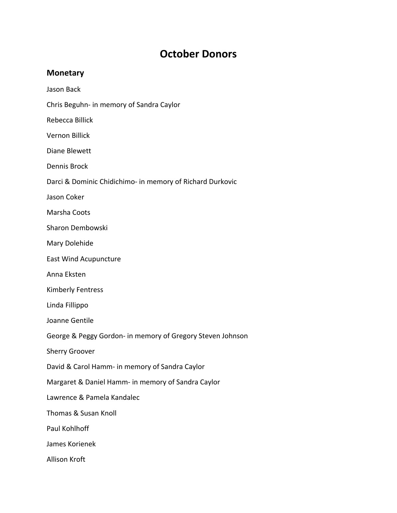## **October Donors**

## **Monetary**

Jason Back

Chris Beguhn‐ in memory of Sandra Caylor

Rebecca Billick

Vernon Billick

Diane Blewett

Dennis Brock

Darci & Dominic Chidichimo‐ in memory of Richard Durkovic

Jason Coker

Marsha Coots

Sharon Dembowski

Mary Dolehide

East Wind Acupuncture

Anna Eksten

Kimberly Fentress

Linda Fillippo

Joanne Gentile

George & Peggy Gordon‐ in memory of Gregory Steven Johnson

Sherry Groover

David & Carol Hamm‐ in memory of Sandra Caylor

Margaret & Daniel Hamm‐ in memory of Sandra Caylor

Lawrence & Pamela Kandalec

Thomas & Susan Knoll

Paul Kohlhoff

James Korienek

Allison Kroft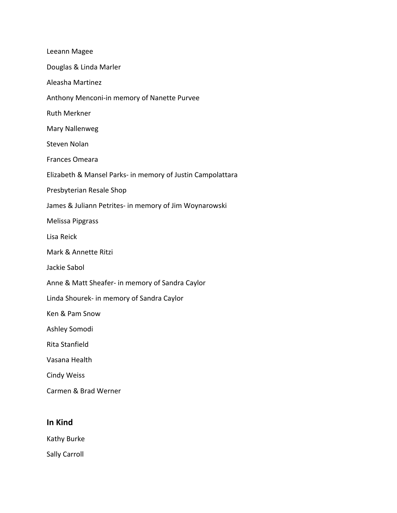| Leeann Magee                                               |
|------------------------------------------------------------|
| Douglas & Linda Marler                                     |
| Aleasha Martinez                                           |
| Anthony Menconi-in memory of Nanette Purvee                |
| <b>Ruth Merkner</b>                                        |
| Mary Nallenweg                                             |
| <b>Steven Nolan</b>                                        |
| <b>Frances Omeara</b>                                      |
| Elizabeth & Mansel Parks- in memory of Justin Campolattara |
| Presbyterian Resale Shop                                   |
| James & Juliann Petrites- in memory of Jim Woynarowski     |
| <b>Melissa Pipgrass</b>                                    |
| Lisa Reick                                                 |
| Mark & Annette Ritzi                                       |
| Jackie Sabol                                               |
| Anne & Matt Sheafer- in memory of Sandra Caylor            |
| Linda Shourek- in memory of Sandra Caylor                  |
| Ken & Pam Snow                                             |
| Ashley Somodi                                              |
| Rita Stanfield                                             |
| Vasana Health                                              |
| <b>Cindy Weiss</b>                                         |
| Carmen & Brad Werner                                       |

## **In Kind**

Kathy Burke

Sally Carroll